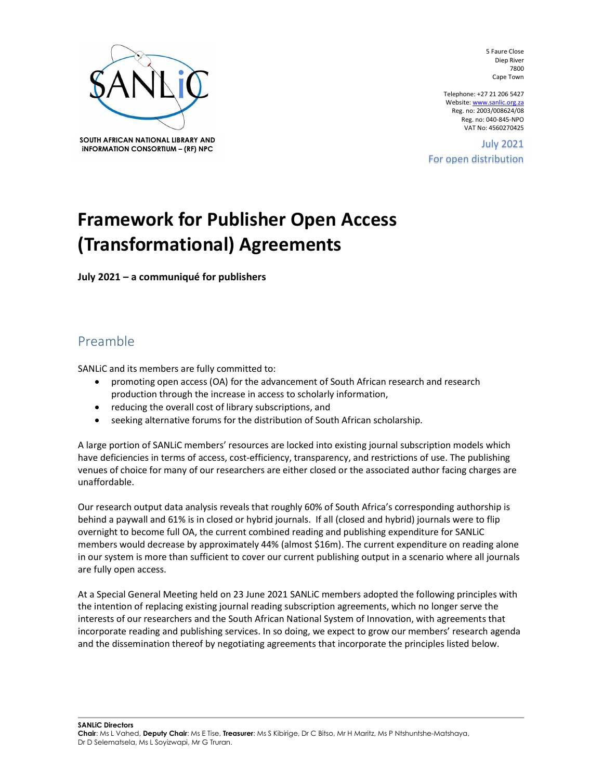

SOUTH AFRICAN NATIONAL LIBRARY AND SOUIH AFRICAN NATIONAL LIBRART AND **SOUIH AFRICAN NATIONAL LIBRART AND SOUIH AFRICAN NATION** 2021

5 Faure Close Diep River 7800 Cape Town

Telephone: +27 21 206 5427 Website: www.sanlic.org.za Reg. no: 2003/008624/08 Reg. no: 040-845-NPO VAT No: 4560270425

For open distribution

## Framework for Publisher Open Access (Transformational) Agreements

July 2021 – a communiqué for publishers

## Preamble

SANLiC and its members are fully committed to:

- promoting open access (OA) for the advancement of South African research and research production through the increase in access to scholarly information,
- reducing the overall cost of library subscriptions, and
- seeking alternative forums for the distribution of South African scholarship.

A large portion of SANLiC members' resources are locked into existing journal subscription models which have deficiencies in terms of access, cost-efficiency, transparency, and restrictions of use. The publishing venues of choice for many of our researchers are either closed or the associated author facing charges are unaffordable.

Our research output data analysis reveals that roughly 60% of South Africa's corresponding authorship is behind a paywall and 61% is in closed or hybrid journals. If all (closed and hybrid) journals were to flip overnight to become full OA, the current combined reading and publishing expenditure for SANLiC members would decrease by approximately 44% (almost \$16m). The current expenditure on reading alone in our system is more than sufficient to cover our current publishing output in a scenario where all journals are fully open access.

At a Special General Meeting held on 23 June 2021 SANLiC members adopted the following principles with the intention of replacing existing journal reading subscription agreements, which no longer serve the interests of our researchers and the South African National System of Innovation, with agreements that incorporate reading and publishing services. In so doing, we expect to grow our members' research agenda and the dissemination thereof by negotiating agreements that incorporate the principles listed below.